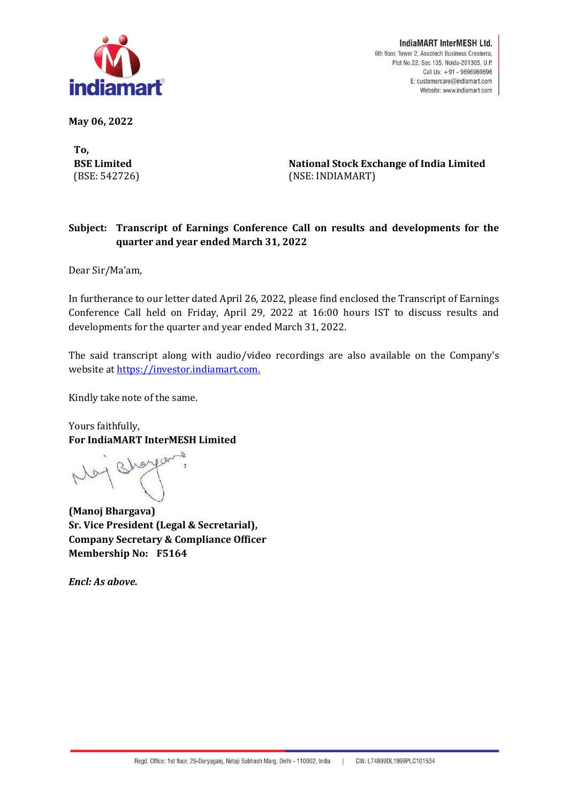

**May 06, 2022** 

**To, BSE Limited** (BSE: 542726)

**National Stock Exchange of India Limited** (NSE: INDIAMART)

## **Subject: Transcript of Earnings Conference Call on results and developments for the quarter and year ended March 31, 2022**

Dear Sir/Ma'am,

In furtherance to our letter dated April 26, 2022, please find enclosed the Transcript of Earnings Conference Call held on Friday, April 29, 2022 at 16:00 hours IST to discuss results and developments for the quarter and year ended March 31, 2022.

The said transcript along with audio/video recordings are also available on the Company's website a[t https://investor.indiamart.com.](https://investor.indiamart.com/)

Kindly take note of the same.

Yours faithfully, **For IndiaMART InterMESH Limited**

**(Manoj Bhargava) Sr. Vice President (Legal & Secretarial), Company Secretary & Compliance Officer Membership No: F5164**

*Encl: As above.*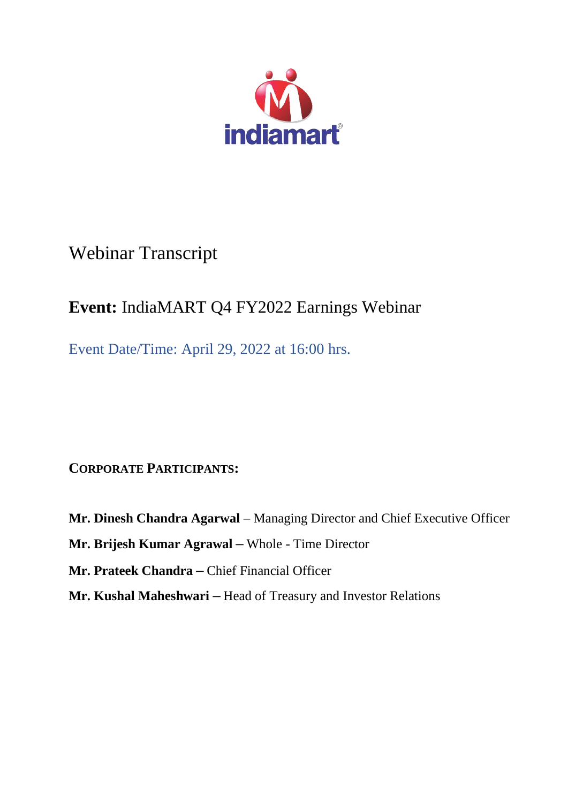

## Webinar Transcript

## **Event:** IndiaMART Q4 FY2022 Earnings Webinar

Event Date/Time: April 29, 2022 at 16:00 hrs.

**CORPORATE PARTICIPANTS:**

**Mr. Dinesh Chandra Agarwal** – Managing Director and Chief Executive Officer **Mr. Brijesh Kumar Agrawal –** Whole - Time Director **Mr. Prateek Chandra –** Chief Financial Officer **Mr. Kushal Maheshwari –** Head of Treasury and Investor Relations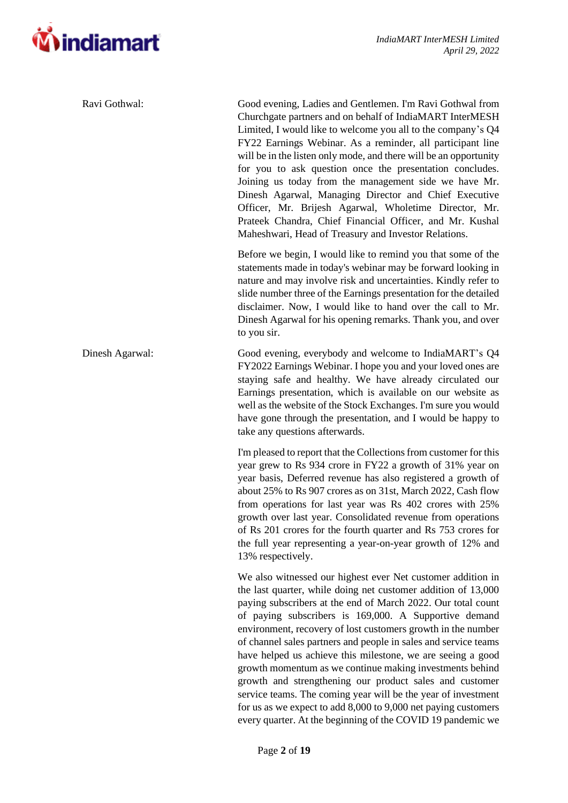

| Ravi Gothwal:   | Good evening, Ladies and Gentlemen. I'm Ravi Gothwal from<br>Churchgate partners and on behalf of IndiaMART InterMESH<br>Limited, I would like to welcome you all to the company's Q4<br>FY22 Earnings Webinar. As a reminder, all participant line<br>will be in the listen only mode, and there will be an opportunity<br>for you to ask question once the presentation concludes.<br>Joining us today from the management side we have Mr.<br>Dinesh Agarwal, Managing Director and Chief Executive<br>Officer, Mr. Brijesh Agarwal, Wholetime Director, Mr.<br>Prateek Chandra, Chief Financial Officer, and Mr. Kushal<br>Maheshwari, Head of Treasury and Investor Relations.                                                                                                  |
|-----------------|--------------------------------------------------------------------------------------------------------------------------------------------------------------------------------------------------------------------------------------------------------------------------------------------------------------------------------------------------------------------------------------------------------------------------------------------------------------------------------------------------------------------------------------------------------------------------------------------------------------------------------------------------------------------------------------------------------------------------------------------------------------------------------------|
|                 | Before we begin, I would like to remind you that some of the<br>statements made in today's webinar may be forward looking in<br>nature and may involve risk and uncertainties. Kindly refer to<br>slide number three of the Earnings presentation for the detailed<br>disclaimer. Now, I would like to hand over the call to Mr.<br>Dinesh Agarwal for his opening remarks. Thank you, and over<br>to you sir.                                                                                                                                                                                                                                                                                                                                                                       |
| Dinesh Agarwal: | Good evening, everybody and welcome to IndiaMART's Q4<br>FY2022 Earnings Webinar. I hope you and your loved ones are<br>staying safe and healthy. We have already circulated our<br>Earnings presentation, which is available on our website as<br>well as the website of the Stock Exchanges. I'm sure you would<br>have gone through the presentation, and I would be happy to<br>take any questions afterwards.                                                                                                                                                                                                                                                                                                                                                                   |
|                 | I'm pleased to report that the Collections from customer for this<br>year grew to Rs 934 crore in FY22 a growth of 31% year on<br>year basis, Deferred revenue has also registered a growth of<br>about 25% to Rs 907 crores as on 31st, March 2022, Cash flow<br>from operations for last year was Rs 402 crores with 25%<br>growth over last year. Consolidated revenue from operations<br>of Rs 201 crores for the fourth quarter and Rs 753 crores for<br>the full year representing a year-on-year growth of 12% and<br>13% respectively.                                                                                                                                                                                                                                       |
|                 | We also witnessed our highest ever Net customer addition in<br>the last quarter, while doing net customer addition of 13,000<br>paying subscribers at the end of March 2022. Our total count<br>of paying subscribers is 169,000. A Supportive demand<br>environment, recovery of lost customers growth in the number<br>of channel sales partners and people in sales and service teams<br>have helped us achieve this milestone, we are seeing a good<br>growth momentum as we continue making investments behind<br>growth and strengthening our product sales and customer<br>service teams. The coming year will be the year of investment<br>for us as we expect to add $8,000$ to $9,000$ net paying customers<br>every quarter. At the beginning of the COVID 19 pandemic we |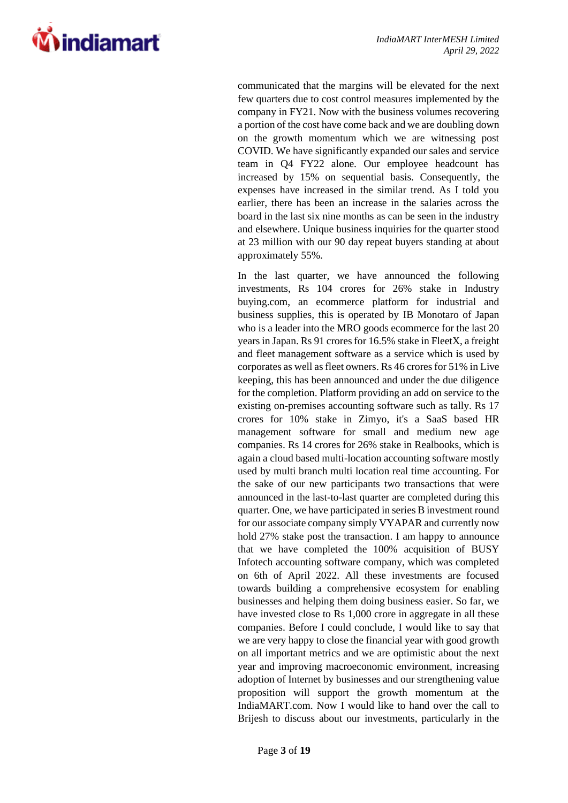

communicated that the margins will be elevated for the next few quarters due to cost control measures implemented by the company in FY21. Now with the business volumes recovering a portion of the cost have come back and we are doubling down on the growth momentum which we are witnessing post COVID. We have significantly expanded our sales and service team in Q4 FY22 alone. Our employee headcount has increased by 15% on sequential basis. Consequently, the expenses have increased in the similar trend. As I told you earlier, there has been an increase in the salaries across the board in the last six nine months as can be seen in the industry and elsewhere. Unique business inquiries for the quarter stood at 23 million with our 90 day repeat buyers standing at about approximately 55%.

In the last quarter, we have announced the following investments, Rs 104 crores for 26% stake in Industry buying.com, an ecommerce platform for industrial and business supplies, this is operated by IB Monotaro of Japan who is a leader into the MRO goods ecommerce for the last 20 years in Japan. Rs 91 crores for 16.5% stake in FleetX, a freight and fleet management software as a service which is used by corporates as well as fleet owners. Rs 46 crores for 51% in Live keeping, this has been announced and under the due diligence for the completion. Platform providing an add on service to the existing on-premises accounting software such as tally. Rs 17 crores for 10% stake in Zimyo, it's a SaaS based HR management software for small and medium new age companies. Rs 14 crores for 26% stake in Realbooks, which is again a cloud based multi-location accounting software mostly used by multi branch multi location real time accounting. For the sake of our new participants two transactions that were announced in the last-to-last quarter are completed during this quarter. One, we have participated in series B investment round for our associate company simply VYAPAR and currently now hold 27% stake post the transaction. I am happy to announce that we have completed the 100% acquisition of BUSY Infotech accounting software company, which was completed on 6th of April 2022. All these investments are focused towards building a comprehensive ecosystem for enabling businesses and helping them doing business easier. So far, we have invested close to Rs 1,000 crore in aggregate in all these companies. Before I could conclude, I would like to say that we are very happy to close the financial year with good growth on all important metrics and we are optimistic about the next year and improving macroeconomic environment, increasing adoption of Internet by businesses and our strengthening value proposition will support the growth momentum at the IndiaMART.com. Now I would like to hand over the call to Brijesh to discuss about our investments, particularly in the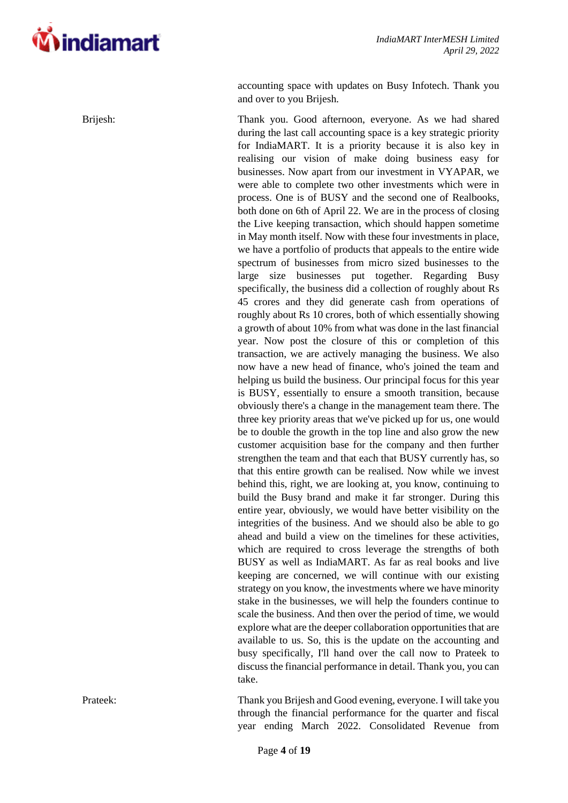

accounting space with updates on Busy Infotech. Thank you and over to you Brijesh.

Brijesh: Thank you. Good afternoon, everyone. As we had shared during the last call accounting space is a key strategic priority for IndiaMART. It is a priority because it is also key in realising our vision of make doing business easy for businesses. Now apart from our investment in VYAPAR, we were able to complete two other investments which were in process. One is of BUSY and the second one of Realbooks, both done on 6th of April 22. We are in the process of closing the Live keeping transaction, which should happen sometime in May month itself. Now with these four investments in place, we have a portfolio of products that appeals to the entire wide spectrum of businesses from micro sized businesses to the large size businesses put together. Regarding Busy specifically, the business did a collection of roughly about Rs 45 crores and they did generate cash from operations of roughly about Rs 10 crores, both of which essentially showing a growth of about 10% from what was done in the last financial year. Now post the closure of this or completion of this transaction, we are actively managing the business. We also now have a new head of finance, who's joined the team and helping us build the business. Our principal focus for this year is BUSY, essentially to ensure a smooth transition, because obviously there's a change in the management team there. The three key priority areas that we've picked up for us, one would be to double the growth in the top line and also grow the new customer acquisition base for the company and then further strengthen the team and that each that BUSY currently has, so that this entire growth can be realised. Now while we invest behind this, right, we are looking at, you know, continuing to build the Busy brand and make it far stronger. During this entire year, obviously, we would have better visibility on the integrities of the business. And we should also be able to go ahead and build a view on the timelines for these activities, which are required to cross leverage the strengths of both BUSY as well as IndiaMART. As far as real books and live keeping are concerned, we will continue with our existing strategy on you know, the investments where we have minority stake in the businesses, we will help the founders continue to scale the business. And then over the period of time, we would explore what are the deeper collaboration opportunities that are available to us. So, this is the update on the accounting and busy specifically, I'll hand over the call now to Prateek to discuss the financial performance in detail. Thank you, you can take.

Prateek: Thank you Brijesh and Good evening, everyone. I will take you through the financial performance for the quarter and fiscal year ending March 2022. Consolidated Revenue from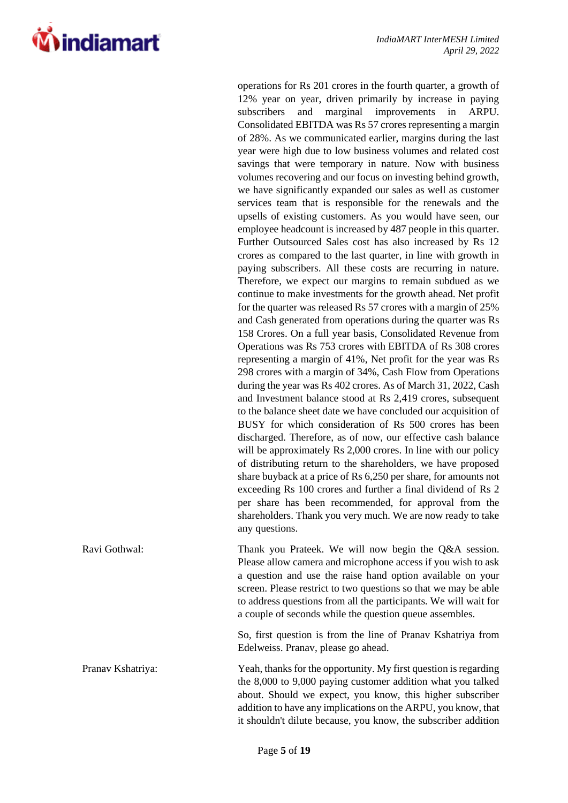**Vindiamart** 

operations for Rs 201 crores in the fourth quarter, a growth of 12% year on year, driven primarily by increase in paying subscribers and marginal improvements in ARPU. Consolidated EBITDA was Rs 57 crores representing a margin of 28%. As we communicated earlier, margins during the last year were high due to low business volumes and related cost savings that were temporary in nature. Now with business volumes recovering and our focus on investing behind growth, we have significantly expanded our sales as well as customer services team that is responsible for the renewals and the upsells of existing customers. As you would have seen, our employee headcount is increased by 487 people in this quarter. Further Outsourced Sales cost has also increased by Rs 12 crores as compared to the last quarter, in line with growth in paying subscribers. All these costs are recurring in nature. Therefore, we expect our margins to remain subdued as we continue to make investments for the growth ahead. Net profit for the quarter was released Rs 57 crores with a margin of 25% and Cash generated from operations during the quarter was Rs 158 Crores. On a full year basis, Consolidated Revenue from Operations was Rs 753 crores with EBITDA of Rs 308 crores representing a margin of 41%, Net profit for the year was Rs 298 crores with a margin of 34%, Cash Flow from Operations during the year was Rs 402 crores. As of March 31, 2022, Cash and Investment balance stood at Rs 2,419 crores, subsequent to the balance sheet date we have concluded our acquisition of BUSY for which consideration of Rs 500 crores has been discharged. Therefore, as of now, our effective cash balance will be approximately Rs 2,000 crores. In line with our policy of distributing return to the shareholders, we have proposed share buyback at a price of Rs 6,250 per share, for amounts not exceeding Rs 100 crores and further a final dividend of Rs 2 per share has been recommended, for approval from the shareholders. Thank you very much. We are now ready to take any questions.

Ravi Gothwal: Thank you Prateek. We will now begin the Q&A session. Please allow camera and microphone access if you wish to ask a question and use the raise hand option available on your screen. Please restrict to two questions so that we may be able to address questions from all the participants. We will wait for a couple of seconds while the question queue assembles.

> So, first question is from the line of Pranav Kshatriya from Edelweiss. Pranav, please go ahead.

Pranav Kshatriya: Yeah, thanks for the opportunity. My first question is regarding the 8,000 to 9,000 paying customer addition what you talked about. Should we expect, you know, this higher subscriber addition to have any implications on the ARPU, you know, that it shouldn't dilute because, you know, the subscriber addition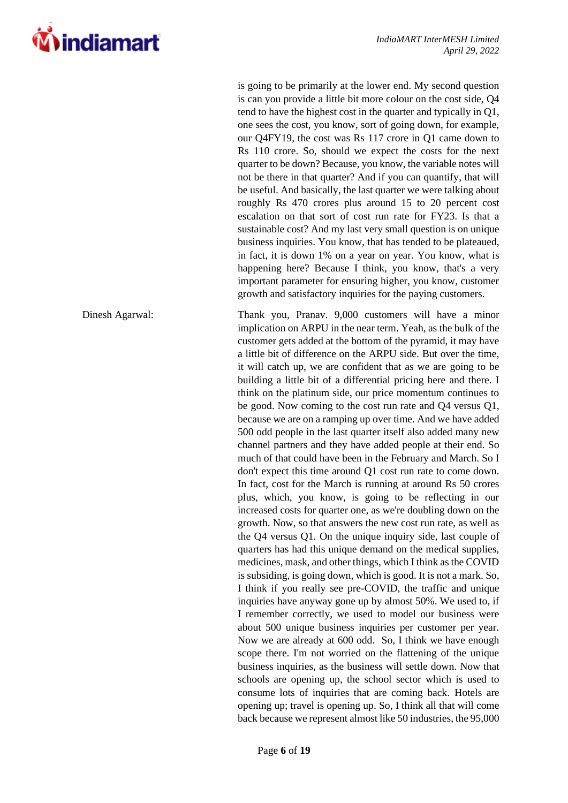

is going to be primarily at the lower end. My second question is can you provide a little bit more colour on the cost side, Q4 tend to have the highest cost in the quarter and typically in Q1, one sees the cost, you know, sort of going down, for example, our Q4FY19, the cost was Rs 117 crore in Q1 came down to Rs 110 crore. So, should we expect the costs for the next quarter to be down? Because, you know, the variable notes will not be there in that quarter? And if you can quantify, that will be useful. And basically, the last quarter we were talking about roughly Rs 470 crores plus around 15 to 20 percent cost escalation on that sort of cost run rate for FY23. Is that a sustainable cost? And my last very small question is on unique business inquiries. You know, that has tended to be plateaued, in fact, it is down 1% on a year on year. You know, what is happening here? Because I think, you know, that's a very important parameter for ensuring higher, you know, customer growth and satisfactory inquiries for the paying customers.

Dinesh Agarwal: Thank you, Pranav. 9,000 customers will have a minor implication on ARPU in the near term. Yeah, as the bulk of the customer gets added at the bottom of the pyramid, it may have a little bit of difference on the ARPU side. But over the time, it will catch up, we are confident that as we are going to be building a little bit of a differential pricing here and there. I think on the platinum side, our price momentum continues to be good. Now coming to the cost run rate and Q4 versus Q1, because we are on a ramping up over time. And we have added 500 odd people in the last quarter itself also added many new channel partners and they have added people at their end. So much of that could have been in the February and March. So I don't expect this time around Q1 cost run rate to come down. In fact, cost for the March is running at around Rs 50 crores plus, which, you know, is going to be reflecting in our increased costs for quarter one, as we're doubling down on the growth. Now, so that answers the new cost run rate, as well as the Q4 versus Q1. On the unique inquiry side, last couple of quarters has had this unique demand on the medical supplies, medicines, mask, and other things, which I think as the COVID is subsiding, is going down, which is good. It is not a mark. So, I think if you really see pre-COVID, the traffic and unique inquiries have anyway gone up by almost 50%. We used to, if I remember correctly, we used to model our business were about 500 unique business inquiries per customer per year. Now we are already at 600 odd. So, I think we have enough scope there. I'm not worried on the flattening of the unique business inquiries, as the business will settle down. Now that schools are opening up, the school sector which is used to consume lots of inquiries that are coming back. Hotels are opening up; travel is opening up. So, I think all that will come back because we represent almost like 50 industries, the 95,000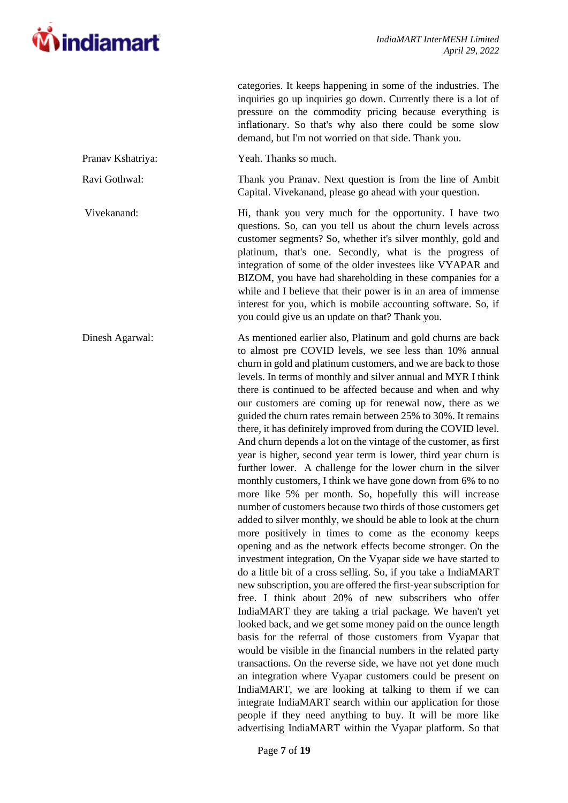

categories. It keeps happening in some of the industries. The

inquiries go up inquiries go down. Currently there is a lot of pressure on the commodity pricing because everything is inflationary. So that's why also there could be some slow demand, but I'm not worried on that side. Thank you. Pranav Kshatriya: Yeah. Thanks so much. Ravi Gothwal: Thank you Pranav. Next question is from the line of Ambit Capital. Vivekanand, please go ahead with your question. Vivekanand: Hi, thank you very much for the opportunity. I have two questions. So, can you tell us about the churn levels across customer segments? So, whether it's silver monthly, gold and platinum, that's one. Secondly, what is the progress of integration of some of the older investees like VYAPAR and BIZOM, you have had shareholding in these companies for a while and I believe that their power is in an area of immense interest for you, which is mobile accounting software. So, if you could give us an update on that? Thank you. Dinesh Agarwal: As mentioned earlier also, Platinum and gold churns are back to almost pre COVID levels, we see less than 10% annual churn in gold and platinum customers, and we are back to those levels. In terms of monthly and silver annual and MYR I think there is continued to be affected because and when and why our customers are coming up for renewal now, there as we guided the churn rates remain between 25% to 30%. It remains there, it has definitely improved from during the COVID level. And churn depends a lot on the vintage of the customer, as first year is higher, second year term is lower, third year churn is further lower. A challenge for the lower churn in the silver monthly customers, I think we have gone down from 6% to no more like 5% per month. So, hopefully this will increase number of customers because two thirds of those customers get added to silver monthly, we should be able to look at the churn more positively in times to come as the economy keeps opening and as the network effects become stronger. On the investment integration, On the Vyapar side we have started to do a little bit of a cross selling. So, if you take a IndiaMART new subscription, you are offered the first-year subscription for free. I think about 20% of new subscribers who offer IndiaMART they are taking a trial package. We haven't yet looked back, and we get some money paid on the ounce length basis for the referral of those customers from Vyapar that would be visible in the financial numbers in the related party transactions. On the reverse side, we have not yet done much an integration where Vyapar customers could be present on IndiaMART, we are looking at talking to them if we can integrate IndiaMART search within our application for those people if they need anything to buy. It will be more like advertising IndiaMART within the Vyapar platform. So that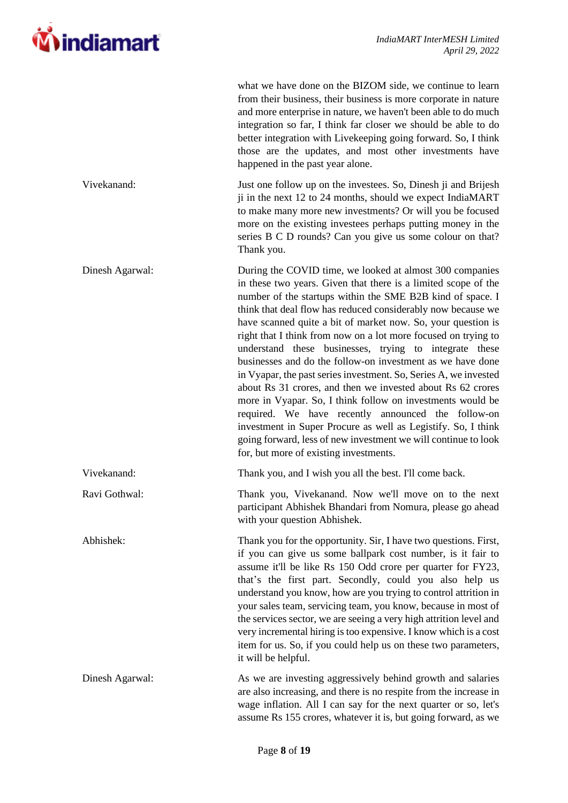

|                 | what we have done on the BIZOM side, we continue to learn<br>from their business, their business is more corporate in nature<br>and more enterprise in nature, we haven't been able to do much<br>integration so far, I think far closer we should be able to do<br>better integration with Livekeeping going forward. So, I think<br>those are the updates, and most other investments have<br>happened in the past year alone.                                                                                                                                                                                                                                                                                                                                                                                                                                                                                                                       |
|-----------------|--------------------------------------------------------------------------------------------------------------------------------------------------------------------------------------------------------------------------------------------------------------------------------------------------------------------------------------------------------------------------------------------------------------------------------------------------------------------------------------------------------------------------------------------------------------------------------------------------------------------------------------------------------------------------------------------------------------------------------------------------------------------------------------------------------------------------------------------------------------------------------------------------------------------------------------------------------|
| Vivekanand:     | Just one follow up on the investees. So, Dinesh ji and Brijesh<br>ji in the next 12 to 24 months, should we expect IndiaMART<br>to make many more new investments? Or will you be focused<br>more on the existing investees perhaps putting money in the<br>series B C D rounds? Can you give us some colour on that?<br>Thank you.                                                                                                                                                                                                                                                                                                                                                                                                                                                                                                                                                                                                                    |
| Dinesh Agarwal: | During the COVID time, we looked at almost 300 companies<br>in these two years. Given that there is a limited scope of the<br>number of the startups within the SME B2B kind of space. I<br>think that deal flow has reduced considerably now because we<br>have scanned quite a bit of market now. So, your question is<br>right that I think from now on a lot more focused on trying to<br>understand these businesses, trying to integrate these<br>businesses and do the follow-on investment as we have done<br>in Vyapar, the past series investment. So, Series A, we invested<br>about Rs 31 crores, and then we invested about Rs 62 crores<br>more in Vyapar. So, I think follow on investments would be<br>required. We have recently announced the follow-on<br>investment in Super Procure as well as Legistify. So, I think<br>going forward, less of new investment we will continue to look<br>for, but more of existing investments. |
| Vivekanand:     | Thank you, and I wish you all the best. I'll come back.                                                                                                                                                                                                                                                                                                                                                                                                                                                                                                                                                                                                                                                                                                                                                                                                                                                                                                |
| Ravi Gothwal:   | Thank you, Vivekanand. Now we'll move on to the next<br>participant Abhishek Bhandari from Nomura, please go ahead<br>with your question Abhishek.                                                                                                                                                                                                                                                                                                                                                                                                                                                                                                                                                                                                                                                                                                                                                                                                     |
| Abhishek:       | Thank you for the opportunity. Sir, I have two questions. First,<br>if you can give us some ballpark cost number, is it fair to<br>assume it'll be like Rs 150 Odd crore per quarter for FY23,<br>that's the first part. Secondly, could you also help us<br>understand you know, how are you trying to control attrition in<br>your sales team, servicing team, you know, because in most of<br>the services sector, we are seeing a very high attrition level and<br>very incremental hiring is too expensive. I know which is a cost<br>item for us. So, if you could help us on these two parameters,<br>it will be helpful.                                                                                                                                                                                                                                                                                                                       |
| Dinesh Agarwal: | As we are investing aggressively behind growth and salaries<br>are also increasing, and there is no respite from the increase in<br>wage inflation. All I can say for the next quarter or so, let's<br>assume Rs 155 crores, whatever it is, but going forward, as we                                                                                                                                                                                                                                                                                                                                                                                                                                                                                                                                                                                                                                                                                  |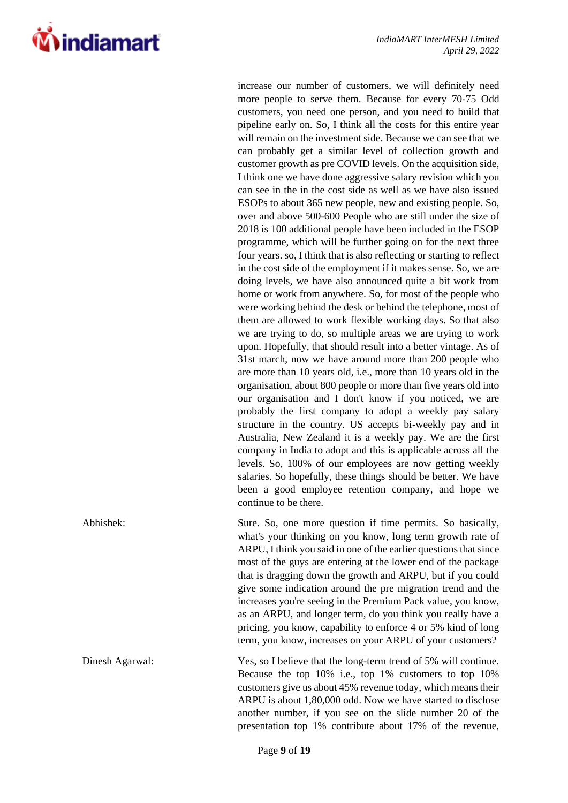increase our number of customers, we will definitely need more people to serve them. Because for every 70-75 Odd customers, you need one person, and you need to build that pipeline early on. So, I think all the costs for this entire year will remain on the investment side. Because we can see that we can probably get a similar level of collection growth and customer growth as pre COVID levels. On the acquisition side, I think one we have done aggressive salary revision which you can see in the in the cost side as well as we have also issued ESOPs to about 365 new people, new and existing people. So, over and above 500-600 People who are still under the size of 2018 is 100 additional people have been included in the ESOP programme, which will be further going on for the next three four years. so, I think that is also reflecting or starting to reflect in the cost side of the employment if it makes sense. So, we are doing levels, we have also announced quite a bit work from home or work from anywhere. So, for most of the people who were working behind the desk or behind the telephone, most of them are allowed to work flexible working days. So that also we are trying to do, so multiple areas we are trying to work upon. Hopefully, that should result into a better vintage. As of 31st march, now we have around more than 200 people who are more than 10 years old, i.e., more than 10 years old in the organisation, about 800 people or more than five years old into our organisation and I don't know if you noticed, we are probably the first company to adopt a weekly pay salary structure in the country. US accepts bi-weekly pay and in Australia, New Zealand it is a weekly pay. We are the first company in India to adopt and this is applicable across all the levels. So, 100% of our employees are now getting weekly salaries. So hopefully, these things should be better. We have been a good employee retention company, and hope we continue to be there.

Abhishek: Sure. So, one more question if time permits. So basically, what's your thinking on you know, long term growth rate of ARPU, I think you said in one of the earlier questions that since most of the guys are entering at the lower end of the package that is dragging down the growth and ARPU, but if you could give some indication around the pre migration trend and the increases you're seeing in the Premium Pack value, you know, as an ARPU, and longer term, do you think you really have a pricing, you know, capability to enforce 4 or 5% kind of long term, you know, increases on your ARPU of your customers?

Dinesh Agarwal: Yes, so I believe that the long-term trend of 5% will continue. Because the top 10% i.e., top 1% customers to top 10% customers give us about 45% revenue today, which means their ARPU is about 1,80,000 odd. Now we have started to disclose another number, if you see on the slide number 20 of the presentation top 1% contribute about 17% of the revenue,

**Windiamart**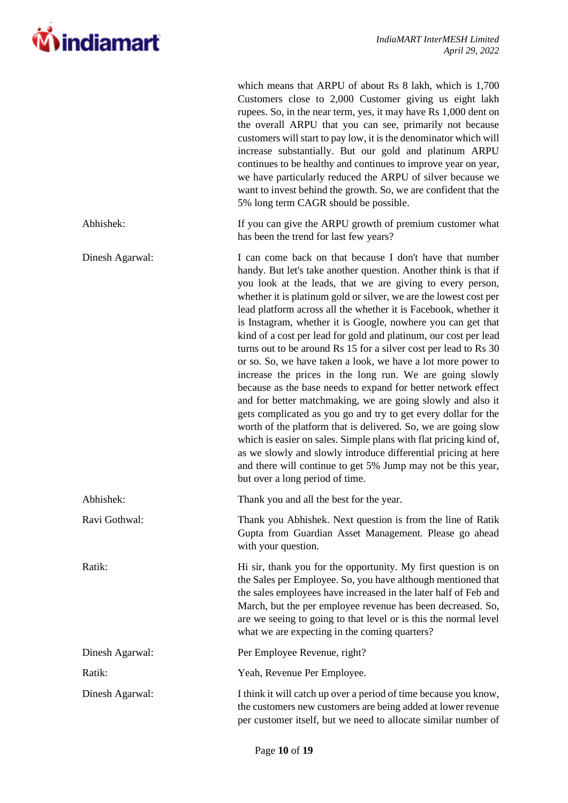

which means that ARPU of about Rs 8 lakh, which is 1,700

|                 | Customers close to 2,000 Customer giving us eight lakh<br>rupees. So, in the near term, yes, it may have Rs 1,000 dent on<br>the overall ARPU that you can see, primarily not because<br>customers will start to pay low, it is the denominator which will<br>increase substantially. But our gold and platinum ARPU<br>continues to be healthy and continues to improve year on year,<br>we have particularly reduced the ARPU of silver because we<br>want to invest behind the growth. So, we are confident that the<br>5% long term CAGR should be possible.                                                                                                                                                                                                                                                                                                                                                                                                                                                                                                                                                                                                                     |
|-----------------|--------------------------------------------------------------------------------------------------------------------------------------------------------------------------------------------------------------------------------------------------------------------------------------------------------------------------------------------------------------------------------------------------------------------------------------------------------------------------------------------------------------------------------------------------------------------------------------------------------------------------------------------------------------------------------------------------------------------------------------------------------------------------------------------------------------------------------------------------------------------------------------------------------------------------------------------------------------------------------------------------------------------------------------------------------------------------------------------------------------------------------------------------------------------------------------|
| Abhishek:       | If you can give the ARPU growth of premium customer what<br>has been the trend for last few years?                                                                                                                                                                                                                                                                                                                                                                                                                                                                                                                                                                                                                                                                                                                                                                                                                                                                                                                                                                                                                                                                                   |
| Dinesh Agarwal: | I can come back on that because I don't have that number<br>handy. But let's take another question. Another think is that if<br>you look at the leads, that we are giving to every person,<br>whether it is platinum gold or silver, we are the lowest cost per<br>lead platform across all the whether it is Facebook, whether it<br>is Instagram, whether it is Google, nowhere you can get that<br>kind of a cost per lead for gold and platinum, our cost per lead<br>turns out to be around Rs 15 for a silver cost per lead to Rs 30<br>or so. So, we have taken a look, we have a lot more power to<br>increase the prices in the long run. We are going slowly<br>because as the base needs to expand for better network effect<br>and for better matchmaking, we are going slowly and also it<br>gets complicated as you go and try to get every dollar for the<br>worth of the platform that is delivered. So, we are going slow<br>which is easier on sales. Simple plans with flat pricing kind of,<br>as we slowly and slowly introduce differential pricing at here<br>and there will continue to get 5% Jump may not be this year,<br>but over a long period of time. |
| Abhishek:       | Thank you and all the best for the year.                                                                                                                                                                                                                                                                                                                                                                                                                                                                                                                                                                                                                                                                                                                                                                                                                                                                                                                                                                                                                                                                                                                                             |
| Ravi Gothwal:   | Thank you Abhishek. Next question is from the line of Ratik<br>Gupta from Guardian Asset Management. Please go ahead<br>with your question.                                                                                                                                                                                                                                                                                                                                                                                                                                                                                                                                                                                                                                                                                                                                                                                                                                                                                                                                                                                                                                          |
| Ratik:          | Hi sir, thank you for the opportunity. My first question is on<br>the Sales per Employee. So, you have although mentioned that<br>the sales employees have increased in the later half of Feb and<br>March, but the per employee revenue has been decreased. So,<br>are we seeing to going to that level or is this the normal level<br>what we are expecting in the coming quarters?                                                                                                                                                                                                                                                                                                                                                                                                                                                                                                                                                                                                                                                                                                                                                                                                |
| Dinesh Agarwal: | Per Employee Revenue, right?                                                                                                                                                                                                                                                                                                                                                                                                                                                                                                                                                                                                                                                                                                                                                                                                                                                                                                                                                                                                                                                                                                                                                         |
| Ratik:          | Yeah, Revenue Per Employee.                                                                                                                                                                                                                                                                                                                                                                                                                                                                                                                                                                                                                                                                                                                                                                                                                                                                                                                                                                                                                                                                                                                                                          |
| Dinesh Agarwal: | I think it will catch up over a period of time because you know,<br>the customers new customers are being added at lower revenue<br>per customer itself, but we need to allocate similar number of                                                                                                                                                                                                                                                                                                                                                                                                                                                                                                                                                                                                                                                                                                                                                                                                                                                                                                                                                                                   |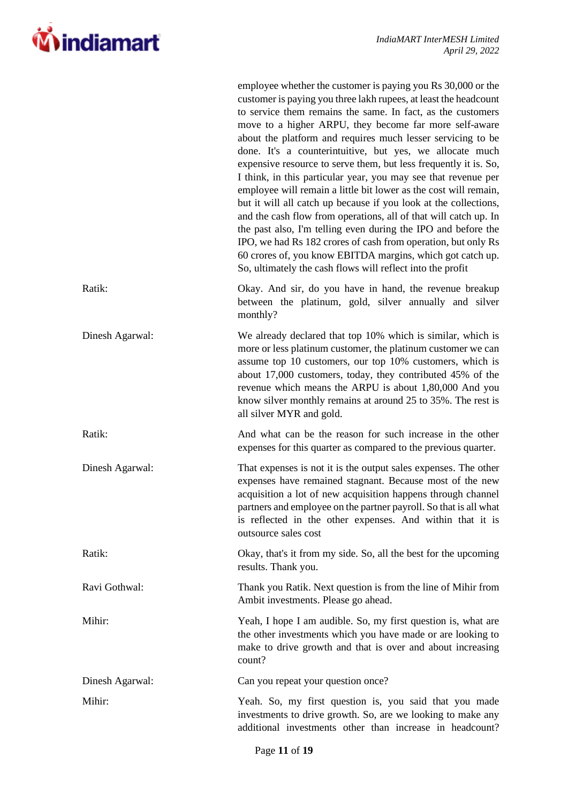

|                 | employee whether the customer is paying you Rs 30,000 or the<br>customer is paying you three lakh rupees, at least the headcount<br>to service them remains the same. In fact, as the customers<br>move to a higher ARPU, they become far more self-aware<br>about the platform and requires much lesser servicing to be<br>done. It's a counterintuitive, but yes, we allocate much<br>expensive resource to serve them, but less frequently it is. So,<br>I think, in this particular year, you may see that revenue per<br>employee will remain a little bit lower as the cost will remain,<br>but it will all catch up because if you look at the collections,<br>and the cash flow from operations, all of that will catch up. In<br>the past also, I'm telling even during the IPO and before the<br>IPO, we had Rs 182 crores of cash from operation, but only Rs<br>60 crores of, you know EBITDA margins, which got catch up.<br>So, ultimately the cash flows will reflect into the profit |
|-----------------|------------------------------------------------------------------------------------------------------------------------------------------------------------------------------------------------------------------------------------------------------------------------------------------------------------------------------------------------------------------------------------------------------------------------------------------------------------------------------------------------------------------------------------------------------------------------------------------------------------------------------------------------------------------------------------------------------------------------------------------------------------------------------------------------------------------------------------------------------------------------------------------------------------------------------------------------------------------------------------------------------|
| Ratik:          | Okay. And sir, do you have in hand, the revenue breakup<br>between the platinum, gold, silver annually and silver<br>monthly?                                                                                                                                                                                                                                                                                                                                                                                                                                                                                                                                                                                                                                                                                                                                                                                                                                                                        |
| Dinesh Agarwal: | We already declared that top 10% which is similar, which is<br>more or less platinum customer, the platinum customer we can<br>assume top 10 customers, our top 10% customers, which is<br>about 17,000 customers, today, they contributed 45% of the<br>revenue which means the ARPU is about 1,80,000 And you<br>know silver monthly remains at around 25 to 35%. The rest is<br>all silver MYR and gold.                                                                                                                                                                                                                                                                                                                                                                                                                                                                                                                                                                                          |
| Ratik:          | And what can be the reason for such increase in the other<br>expenses for this quarter as compared to the previous quarter.                                                                                                                                                                                                                                                                                                                                                                                                                                                                                                                                                                                                                                                                                                                                                                                                                                                                          |
| Dinesh Agarwal: | That expenses is not it is the output sales expenses. The other<br>expenses have remained stagnant. Because most of the new<br>acquisition a lot of new acquisition happens through channel<br>partners and employee on the partner payroll. So that is all what<br>is reflected in the other expenses. And within that it is<br>outsource sales cost                                                                                                                                                                                                                                                                                                                                                                                                                                                                                                                                                                                                                                                |
| Ratik:          | Okay, that's it from my side. So, all the best for the upcoming<br>results. Thank you.                                                                                                                                                                                                                                                                                                                                                                                                                                                                                                                                                                                                                                                                                                                                                                                                                                                                                                               |
| Ravi Gothwal:   | Thank you Ratik. Next question is from the line of Mihir from<br>Ambit investments. Please go ahead.                                                                                                                                                                                                                                                                                                                                                                                                                                                                                                                                                                                                                                                                                                                                                                                                                                                                                                 |
| Mihir:          | Yeah, I hope I am audible. So, my first question is, what are<br>the other investments which you have made or are looking to<br>make to drive growth and that is over and about increasing<br>count?                                                                                                                                                                                                                                                                                                                                                                                                                                                                                                                                                                                                                                                                                                                                                                                                 |
| Dinesh Agarwal: | Can you repeat your question once?                                                                                                                                                                                                                                                                                                                                                                                                                                                                                                                                                                                                                                                                                                                                                                                                                                                                                                                                                                   |
| Mihir:          | Yeah. So, my first question is, you said that you made<br>investments to drive growth. So, are we looking to make any<br>additional investments other than increase in headcount?                                                                                                                                                                                                                                                                                                                                                                                                                                                                                                                                                                                                                                                                                                                                                                                                                    |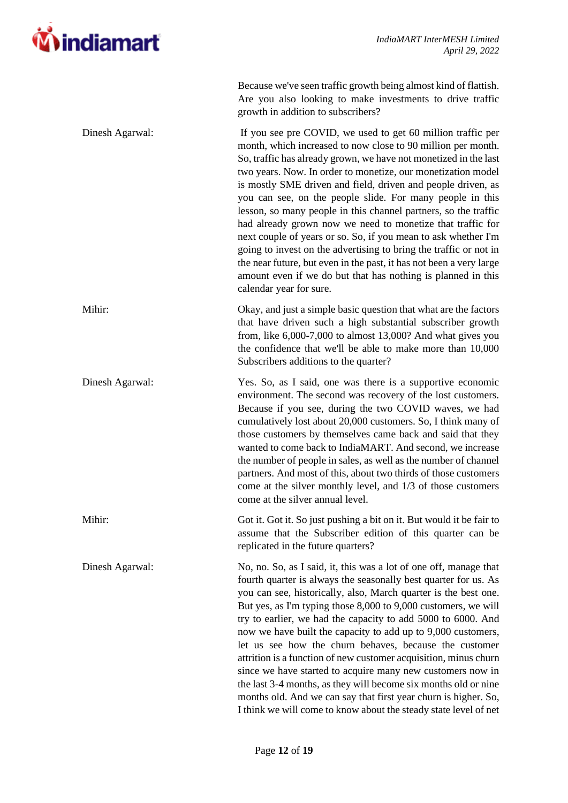

|                 | Because we've seen traffic growth being almost kind of flattish.<br>Are you also looking to make investments to drive traffic<br>growth in addition to subscribers?                                                                                                                                                                                                                                                                                                                                                                                                                                                                                                                                                                                                                                                                    |
|-----------------|----------------------------------------------------------------------------------------------------------------------------------------------------------------------------------------------------------------------------------------------------------------------------------------------------------------------------------------------------------------------------------------------------------------------------------------------------------------------------------------------------------------------------------------------------------------------------------------------------------------------------------------------------------------------------------------------------------------------------------------------------------------------------------------------------------------------------------------|
| Dinesh Agarwal: | If you see pre COVID, we used to get 60 million traffic per<br>month, which increased to now close to 90 million per month.<br>So, traffic has already grown, we have not monetized in the last<br>two years. Now. In order to monetize, our monetization model<br>is mostly SME driven and field, driven and people driven, as<br>you can see, on the people slide. For many people in this<br>lesson, so many people in this channel partners, so the traffic<br>had already grown now we need to monetize that traffic for<br>next couple of years or so. So, if you mean to ask whether I'm<br>going to invest on the advertising to bring the traffic or not in<br>the near future, but even in the past, it has not been a very large<br>amount even if we do but that has nothing is planned in this<br>calendar year for sure. |
| Mihir:          | Okay, and just a simple basic question that what are the factors<br>that have driven such a high substantial subscriber growth<br>from, like $6,000$ -7,000 to almost 13,000? And what gives you<br>the confidence that we'll be able to make more than 10,000<br>Subscribers additions to the quarter?                                                                                                                                                                                                                                                                                                                                                                                                                                                                                                                                |
| Dinesh Agarwal: | Yes. So, as I said, one was there is a supportive economic<br>environment. The second was recovery of the lost customers.<br>Because if you see, during the two COVID waves, we had<br>cumulatively lost about 20,000 customers. So, I think many of<br>those customers by themselves came back and said that they<br>wanted to come back to IndiaMART. And second, we increase<br>the number of people in sales, as well as the number of channel<br>partners. And most of this, about two thirds of those customers<br>come at the silver monthly level, and 1/3 of those customers<br>come at the silver annual level.                                                                                                                                                                                                              |
| Mihir:          | Got it. Got it. So just pushing a bit on it. But would it be fair to<br>assume that the Subscriber edition of this quarter can be<br>replicated in the future quarters?                                                                                                                                                                                                                                                                                                                                                                                                                                                                                                                                                                                                                                                                |
| Dinesh Agarwal: | No, no. So, as I said, it, this was a lot of one off, manage that<br>fourth quarter is always the seasonally best quarter for us. As<br>you can see, historically, also, March quarter is the best one.<br>But yes, as I'm typing those 8,000 to 9,000 customers, we will<br>try to earlier, we had the capacity to add 5000 to 6000. And<br>now we have built the capacity to add up to 9,000 customers,<br>let us see how the churn behaves, because the customer<br>attrition is a function of new customer acquisition, minus churn<br>since we have started to acquire many new customers now in<br>the last 3-4 months, as they will become six months old or nine<br>months old. And we can say that first year churn is higher. So,<br>I think we will come to know about the steady state level of net                        |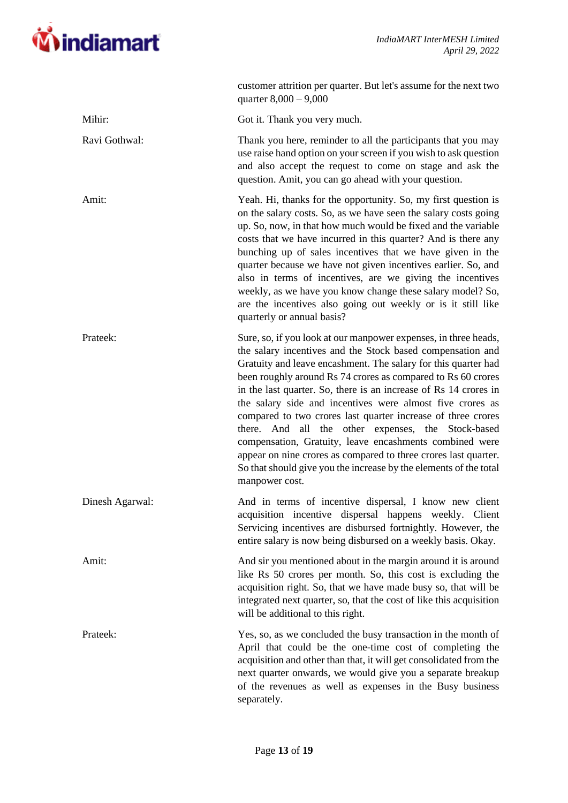

|                 | customer attrition per quarter. But let's assume for the next two<br>quarter $8,000 - 9,000$                                                                                                                                                                                                                                                                                                                                                                                                                                                                                                                                                                                                                                                |
|-----------------|---------------------------------------------------------------------------------------------------------------------------------------------------------------------------------------------------------------------------------------------------------------------------------------------------------------------------------------------------------------------------------------------------------------------------------------------------------------------------------------------------------------------------------------------------------------------------------------------------------------------------------------------------------------------------------------------------------------------------------------------|
| Mihir:          | Got it. Thank you very much.                                                                                                                                                                                                                                                                                                                                                                                                                                                                                                                                                                                                                                                                                                                |
| Ravi Gothwal:   | Thank you here, reminder to all the participants that you may<br>use raise hand option on your screen if you wish to ask question<br>and also accept the request to come on stage and ask the<br>question. Amit, you can go ahead with your question.                                                                                                                                                                                                                                                                                                                                                                                                                                                                                       |
| Amit:           | Yeah. Hi, thanks for the opportunity. So, my first question is<br>on the salary costs. So, as we have seen the salary costs going<br>up. So, now, in that how much would be fixed and the variable<br>costs that we have incurred in this quarter? And is there any<br>bunching up of sales incentives that we have given in the<br>quarter because we have not given incentives earlier. So, and<br>also in terms of incentives, are we giving the incentives<br>weekly, as we have you know change these salary model? So,<br>are the incentives also going out weekly or is it still like<br>quarterly or annual basis?                                                                                                                  |
| Prateek:        | Sure, so, if you look at our manpower expenses, in three heads,<br>the salary incentives and the Stock based compensation and<br>Gratuity and leave encashment. The salary for this quarter had<br>been roughly around Rs 74 crores as compared to Rs 60 crores<br>in the last quarter. So, there is an increase of Rs 14 crores in<br>the salary side and incentives were almost five crores as<br>compared to two crores last quarter increase of three crores<br>there. And all the other expenses, the Stock-based<br>compensation, Gratuity, leave encashments combined were<br>appear on nine crores as compared to three crores last quarter.<br>So that should give you the increase by the elements of the total<br>manpower cost. |
| Dinesh Agarwal: | And in terms of incentive dispersal, I know new client<br>acquisition incentive dispersal happens weekly. Client<br>Servicing incentives are disbursed fortnightly. However, the<br>entire salary is now being disbursed on a weekly basis. Okay.                                                                                                                                                                                                                                                                                                                                                                                                                                                                                           |
| Amit:           | And sir you mentioned about in the margin around it is around<br>like Rs 50 crores per month. So, this cost is excluding the<br>acquisition right. So, that we have made busy so, that will be<br>integrated next quarter, so, that the cost of like this acquisition<br>will be additional to this right.                                                                                                                                                                                                                                                                                                                                                                                                                                  |
| Prateek:        | Yes, so, as we concluded the busy transaction in the month of<br>April that could be the one-time cost of completing the<br>acquisition and other than that, it will get consolidated from the<br>next quarter onwards, we would give you a separate breakup<br>of the revenues as well as expenses in the Busy business<br>separately.                                                                                                                                                                                                                                                                                                                                                                                                     |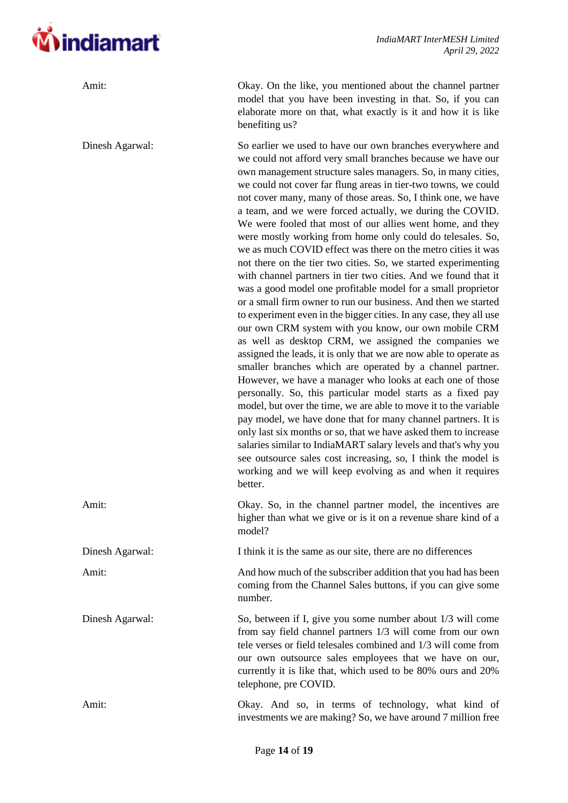

| Amit:           | Okay. On the like, you mentioned about the channel partner<br>model that you have been investing in that. So, if you can<br>elaborate more on that, what exactly is it and how it is like<br>benefiting us?                                                                                                                                                                                                                                                                                                                                                                                                                                                                                                                                                                                                                                                                                                                                                                                                                                                                                                                                                                                                                                                                                                                                                                                                                                                                                                                                                                                                                                                                                                                        |
|-----------------|------------------------------------------------------------------------------------------------------------------------------------------------------------------------------------------------------------------------------------------------------------------------------------------------------------------------------------------------------------------------------------------------------------------------------------------------------------------------------------------------------------------------------------------------------------------------------------------------------------------------------------------------------------------------------------------------------------------------------------------------------------------------------------------------------------------------------------------------------------------------------------------------------------------------------------------------------------------------------------------------------------------------------------------------------------------------------------------------------------------------------------------------------------------------------------------------------------------------------------------------------------------------------------------------------------------------------------------------------------------------------------------------------------------------------------------------------------------------------------------------------------------------------------------------------------------------------------------------------------------------------------------------------------------------------------------------------------------------------------|
| Dinesh Agarwal: | So earlier we used to have our own branches everywhere and<br>we could not afford very small branches because we have our<br>own management structure sales managers. So, in many cities,<br>we could not cover far flung areas in tier-two towns, we could<br>not cover many, many of those areas. So, I think one, we have<br>a team, and we were forced actually, we during the COVID.<br>We were fooled that most of our allies went home, and they<br>were mostly working from home only could do telesales. So,<br>we as much COVID effect was there on the metro cities it was<br>not there on the tier two cities. So, we started experimenting<br>with channel partners in tier two cities. And we found that it<br>was a good model one profitable model for a small proprietor<br>or a small firm owner to run our business. And then we started<br>to experiment even in the bigger cities. In any case, they all use<br>our own CRM system with you know, our own mobile CRM<br>as well as desktop CRM, we assigned the companies we<br>assigned the leads, it is only that we are now able to operate as<br>smaller branches which are operated by a channel partner.<br>However, we have a manager who looks at each one of those<br>personally. So, this particular model starts as a fixed pay<br>model, but over the time, we are able to move it to the variable<br>pay model, we have done that for many channel partners. It is<br>only last six months or so, that we have asked them to increase<br>salaries similar to IndiaMART salary levels and that's why you<br>see outsource sales cost increasing, so, I think the model is<br>working and we will keep evolving as and when it requires<br>better. |
| Amit:           | Okay. So, in the channel partner model, the incentives are<br>higher than what we give or is it on a revenue share kind of a<br>model?                                                                                                                                                                                                                                                                                                                                                                                                                                                                                                                                                                                                                                                                                                                                                                                                                                                                                                                                                                                                                                                                                                                                                                                                                                                                                                                                                                                                                                                                                                                                                                                             |
| Dinesh Agarwal: | I think it is the same as our site, there are no differences                                                                                                                                                                                                                                                                                                                                                                                                                                                                                                                                                                                                                                                                                                                                                                                                                                                                                                                                                                                                                                                                                                                                                                                                                                                                                                                                                                                                                                                                                                                                                                                                                                                                       |
| Amit:           | And how much of the subscriber addition that you had has been<br>coming from the Channel Sales buttons, if you can give some<br>number.                                                                                                                                                                                                                                                                                                                                                                                                                                                                                                                                                                                                                                                                                                                                                                                                                                                                                                                                                                                                                                                                                                                                                                                                                                                                                                                                                                                                                                                                                                                                                                                            |
| Dinesh Agarwal: | So, between if I, give you some number about 1/3 will come<br>from say field channel partners 1/3 will come from our own<br>tele verses or field telesales combined and 1/3 will come from<br>our own outsource sales employees that we have on our,<br>currently it is like that, which used to be 80% ours and 20%<br>telephone, pre COVID.                                                                                                                                                                                                                                                                                                                                                                                                                                                                                                                                                                                                                                                                                                                                                                                                                                                                                                                                                                                                                                                                                                                                                                                                                                                                                                                                                                                      |
| Amit:           | Okay. And so, in terms of technology, what kind of<br>investments we are making? So, we have around 7 million free                                                                                                                                                                                                                                                                                                                                                                                                                                                                                                                                                                                                                                                                                                                                                                                                                                                                                                                                                                                                                                                                                                                                                                                                                                                                                                                                                                                                                                                                                                                                                                                                                 |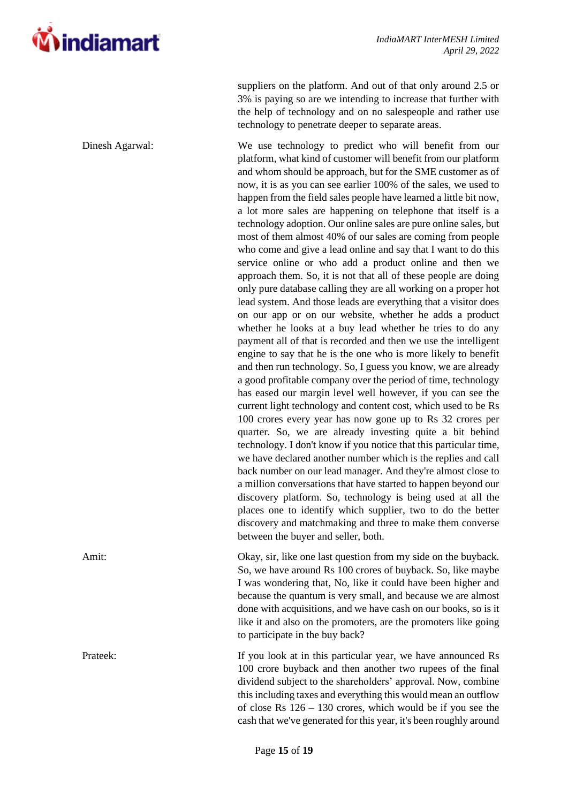

suppliers on the platform. And out of that only around 2.5 or 3% is paying so are we intending to increase that further with the help of technology and on no salespeople and rather use technology to penetrate deeper to separate areas.

Dinesh Agarwal: We use technology to predict who will benefit from our platform, what kind of customer will benefit from our platform and whom should be approach, but for the SME customer as of now, it is as you can see earlier 100% of the sales, we used to happen from the field sales people have learned a little bit now, a lot more sales are happening on telephone that itself is a technology adoption. Our online sales are pure online sales, but most of them almost 40% of our sales are coming from people who come and give a lead online and say that I want to do this service online or who add a product online and then we approach them. So, it is not that all of these people are doing only pure database calling they are all working on a proper hot lead system. And those leads are everything that a visitor does on our app or on our website, whether he adds a product whether he looks at a buy lead whether he tries to do any payment all of that is recorded and then we use the intelligent engine to say that he is the one who is more likely to benefit and then run technology. So, I guess you know, we are already a good profitable company over the period of time, technology has eased our margin level well however, if you can see the current light technology and content cost, which used to be Rs 100 crores every year has now gone up to Rs 32 crores per quarter. So, we are already investing quite a bit behind technology. I don't know if you notice that this particular time, we have declared another number which is the replies and call back number on our lead manager. And they're almost close to a million conversations that have started to happen beyond our discovery platform. So, technology is being used at all the places one to identify which supplier, two to do the better discovery and matchmaking and three to make them converse between the buyer and seller, both.

Amit: Okay, sir, like one last question from my side on the buyback. So, we have around Rs 100 crores of buyback. So, like maybe I was wondering that, No, like it could have been higher and because the quantum is very small, and because we are almost done with acquisitions, and we have cash on our books, so is it like it and also on the promoters, are the promoters like going to participate in the buy back?

Prateek: If you look at in this particular year, we have announced Rs 100 crore buyback and then another two rupees of the final dividend subject to the shareholders' approval. Now, combine this including taxes and everything this would mean an outflow of close Rs 126 – 130 crores, which would be if you see the cash that we've generated for this year, it's been roughly around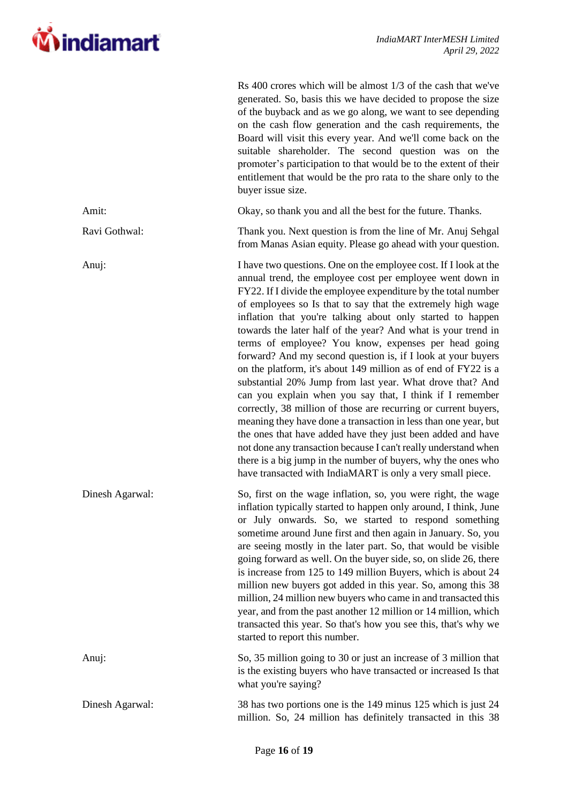

|                 | Rs 400 crores which will be almost 1/3 of the cash that we've<br>generated. So, basis this we have decided to propose the size<br>of the buyback and as we go along, we want to see depending<br>on the cash flow generation and the cash requirements, the<br>Board will visit this every year. And we'll come back on the<br>suitable shareholder. The second question was on the<br>promoter's participation to that would be to the extent of their<br>entitlement that would be the pro rata to the share only to the<br>buyer issue size.                                                                                                                                                                                                                                                                                                                                                                                                                                                                                                                                                                         |
|-----------------|-------------------------------------------------------------------------------------------------------------------------------------------------------------------------------------------------------------------------------------------------------------------------------------------------------------------------------------------------------------------------------------------------------------------------------------------------------------------------------------------------------------------------------------------------------------------------------------------------------------------------------------------------------------------------------------------------------------------------------------------------------------------------------------------------------------------------------------------------------------------------------------------------------------------------------------------------------------------------------------------------------------------------------------------------------------------------------------------------------------------------|
| Amit:           | Okay, so thank you and all the best for the future. Thanks.                                                                                                                                                                                                                                                                                                                                                                                                                                                                                                                                                                                                                                                                                                                                                                                                                                                                                                                                                                                                                                                             |
| Ravi Gothwal:   | Thank you. Next question is from the line of Mr. Anuj Sehgal<br>from Manas Asian equity. Please go ahead with your question.                                                                                                                                                                                                                                                                                                                                                                                                                                                                                                                                                                                                                                                                                                                                                                                                                                                                                                                                                                                            |
| Anuj:           | I have two questions. One on the employee cost. If I look at the<br>annual trend, the employee cost per employee went down in<br>FY22. If I divide the employee expenditure by the total number<br>of employees so Is that to say that the extremely high wage<br>inflation that you're talking about only started to happen<br>towards the later half of the year? And what is your trend in<br>terms of employee? You know, expenses per head going<br>forward? And my second question is, if I look at your buyers<br>on the platform, it's about 149 million as of end of FY22 is a<br>substantial 20% Jump from last year. What drove that? And<br>can you explain when you say that, I think if I remember<br>correctly, 38 million of those are recurring or current buyers,<br>meaning they have done a transaction in less than one year, but<br>the ones that have added have they just been added and have<br>not done any transaction because I can't really understand when<br>there is a big jump in the number of buyers, why the ones who<br>have transacted with IndiaMART is only a very small piece. |
| Dinesh Agarwal: | So, first on the wage inflation, so, you were right, the wage<br>inflation typically started to happen only around, I think, June<br>or July onwards. So, we started to respond something<br>sometime around June first and then again in January. So, you<br>are seeing mostly in the later part. So, that would be visible<br>going forward as well. On the buyer side, so, on slide 26, there<br>is increase from 125 to 149 million Buyers, which is about 24<br>million new buyers got added in this year. So, among this 38<br>million, 24 million new buyers who came in and transacted this<br>year, and from the past another 12 million or 14 million, which<br>transacted this year. So that's how you see this, that's why we<br>started to report this number.                                                                                                                                                                                                                                                                                                                                             |
| Anuj:           | So, 35 million going to 30 or just an increase of 3 million that<br>is the existing buyers who have transacted or increased Is that<br>what you're saying?                                                                                                                                                                                                                                                                                                                                                                                                                                                                                                                                                                                                                                                                                                                                                                                                                                                                                                                                                              |
| Dinesh Agarwal: | 38 has two portions one is the 149 minus 125 which is just 24<br>million. So, 24 million has definitely transacted in this 38                                                                                                                                                                                                                                                                                                                                                                                                                                                                                                                                                                                                                                                                                                                                                                                                                                                                                                                                                                                           |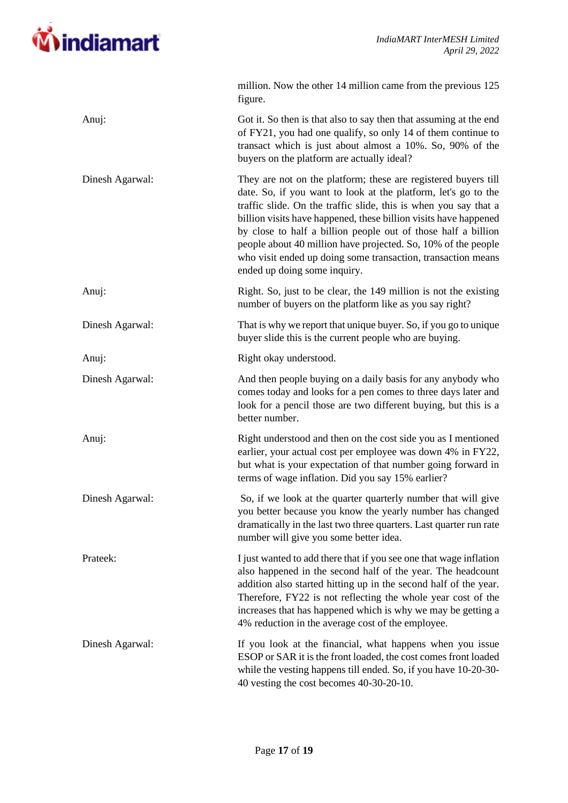

|                 | million. Now the other 14 million came from the previous 125<br>figure.                                                                                                                                                                                                                                                                                                                                                                                                                                    |
|-----------------|------------------------------------------------------------------------------------------------------------------------------------------------------------------------------------------------------------------------------------------------------------------------------------------------------------------------------------------------------------------------------------------------------------------------------------------------------------------------------------------------------------|
| Anuj:           | Got it. So then is that also to say then that assuming at the end<br>of FY21, you had one qualify, so only 14 of them continue to<br>transact which is just about almost a 10%. So, 90% of the<br>buyers on the platform are actually ideal?                                                                                                                                                                                                                                                               |
| Dinesh Agarwal: | They are not on the platform; these are registered buyers till<br>date. So, if you want to look at the platform, let's go to the<br>traffic slide. On the traffic slide, this is when you say that a<br>billion visits have happened, these billion visits have happened<br>by close to half a billion people out of those half a billion<br>people about 40 million have projected. So, 10% of the people<br>who visit ended up doing some transaction, transaction means<br>ended up doing some inquiry. |
| Anuj:           | Right. So, just to be clear, the 149 million is not the existing<br>number of buyers on the platform like as you say right?                                                                                                                                                                                                                                                                                                                                                                                |
| Dinesh Agarwal: | That is why we report that unique buyer. So, if you go to unique<br>buyer slide this is the current people who are buying.                                                                                                                                                                                                                                                                                                                                                                                 |
| Anuj:           | Right okay understood.                                                                                                                                                                                                                                                                                                                                                                                                                                                                                     |
| Dinesh Agarwal: | And then people buying on a daily basis for any anybody who<br>comes today and looks for a pen comes to three days later and<br>look for a pencil those are two different buying, but this is a<br>better number.                                                                                                                                                                                                                                                                                          |
| Anuj:           | Right understood and then on the cost side you as I mentioned<br>earlier, your actual cost per employee was down 4% in FY22,<br>but what is your expectation of that number going forward in<br>terms of wage inflation. Did you say 15% earlier?                                                                                                                                                                                                                                                          |
| Dinesh Agarwal: | So, if we look at the quarter quarterly number that will give<br>you better because you know the yearly number has changed<br>dramatically in the last two three quarters. Last quarter run rate<br>number will give you some better idea.                                                                                                                                                                                                                                                                 |
| Prateek:        | I just wanted to add there that if you see one that wage inflation<br>also happened in the second half of the year. The headcount<br>addition also started hitting up in the second half of the year.<br>Therefore, FY22 is not reflecting the whole year cost of the<br>increases that has happened which is why we may be getting a<br>4% reduction in the average cost of the employee.                                                                                                                 |
| Dinesh Agarwal: | If you look at the financial, what happens when you issue<br>ESOP or SAR it is the front loaded, the cost comes front loaded<br>while the vesting happens till ended. So, if you have 10-20-30-<br>40 vesting the cost becomes 40-30-20-10.                                                                                                                                                                                                                                                                |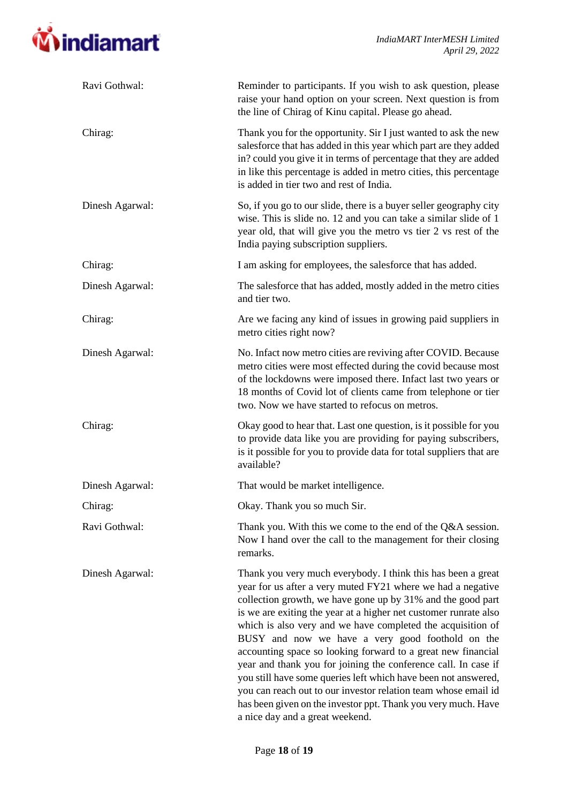

| Ravi Gothwal:   | Reminder to participants. If you wish to ask question, please<br>raise your hand option on your screen. Next question is from<br>the line of Chirag of Kinu capital. Please go ahead.                                                                                                                                                                                                                                                                                                                                                                                                                                                                                                                                                                       |
|-----------------|-------------------------------------------------------------------------------------------------------------------------------------------------------------------------------------------------------------------------------------------------------------------------------------------------------------------------------------------------------------------------------------------------------------------------------------------------------------------------------------------------------------------------------------------------------------------------------------------------------------------------------------------------------------------------------------------------------------------------------------------------------------|
| Chirag:         | Thank you for the opportunity. Sir I just wanted to ask the new<br>salesforce that has added in this year which part are they added<br>in? could you give it in terms of percentage that they are added<br>in like this percentage is added in metro cities, this percentage<br>is added in tier two and rest of India.                                                                                                                                                                                                                                                                                                                                                                                                                                     |
| Dinesh Agarwal: | So, if you go to our slide, there is a buyer seller geography city<br>wise. This is slide no. 12 and you can take a similar slide of 1<br>year old, that will give you the metro vs tier 2 vs rest of the<br>India paying subscription suppliers.                                                                                                                                                                                                                                                                                                                                                                                                                                                                                                           |
| Chirag:         | I am asking for employees, the salesforce that has added.                                                                                                                                                                                                                                                                                                                                                                                                                                                                                                                                                                                                                                                                                                   |
| Dinesh Agarwal: | The salesforce that has added, mostly added in the metro cities<br>and tier two.                                                                                                                                                                                                                                                                                                                                                                                                                                                                                                                                                                                                                                                                            |
| Chirag:         | Are we facing any kind of issues in growing paid suppliers in<br>metro cities right now?                                                                                                                                                                                                                                                                                                                                                                                                                                                                                                                                                                                                                                                                    |
| Dinesh Agarwal: | No. Infact now metro cities are reviving after COVID. Because<br>metro cities were most effected during the covid because most<br>of the lockdowns were imposed there. Infact last two years or<br>18 months of Covid lot of clients came from telephone or tier<br>two. Now we have started to refocus on metros.                                                                                                                                                                                                                                                                                                                                                                                                                                          |
| Chirag:         | Okay good to hear that. Last one question, is it possible for you<br>to provide data like you are providing for paying subscribers,<br>is it possible for you to provide data for total suppliers that are<br>available?                                                                                                                                                                                                                                                                                                                                                                                                                                                                                                                                    |
| Dinesh Agarwal: | That would be market intelligence.                                                                                                                                                                                                                                                                                                                                                                                                                                                                                                                                                                                                                                                                                                                          |
| Chirag:         | Okay. Thank you so much Sir.                                                                                                                                                                                                                                                                                                                                                                                                                                                                                                                                                                                                                                                                                                                                |
| Ravi Gothwal:   | Thank you. With this we come to the end of the Q&A session.<br>Now I hand over the call to the management for their closing<br>remarks.                                                                                                                                                                                                                                                                                                                                                                                                                                                                                                                                                                                                                     |
| Dinesh Agarwal: | Thank you very much everybody. I think this has been a great<br>year for us after a very muted FY21 where we had a negative<br>collection growth, we have gone up by 31% and the good part<br>is we are exiting the year at a higher net customer runrate also<br>which is also very and we have completed the acquisition of<br>BUSY and now we have a very good foothold on the<br>accounting space so looking forward to a great new financial<br>year and thank you for joining the conference call. In case if<br>you still have some queries left which have been not answered,<br>you can reach out to our investor relation team whose email id<br>has been given on the investor ppt. Thank you very much. Have<br>a nice day and a great weekend. |